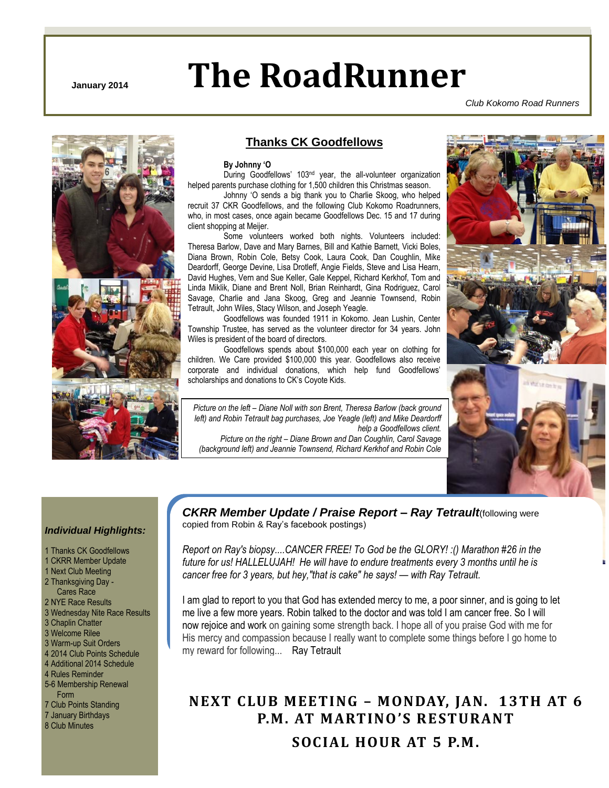# **January 2014 The RoadRunner**

CKRR –November 2013 Page 1 of 8

*Club Kokomo Road Runners*



### **Thanks CK Goodfellows**

#### **By Johnny 'O**

During Goodfellows' 103<sup>nd</sup> year, the all-volunteer organization helped parents purchase clothing for 1,500 children this Christmas season.

Johnny "O sends a big thank you to Charlie Skoog, who helped recruit 37 CKR Goodfellows, and the following Club Kokomo Roadrunners, who, in most cases, once again became Goodfellows Dec. 15 and 17 during client shopping at Meijer.

Some volunteers worked both nights. Volunteers included: Theresa Barlow, Dave and Mary Barnes, Bill and Kathie Barnett, Vicki Boles, Diana Brown, Robin Cole, Betsy Cook, Laura Cook, Dan Coughlin, Mike Deardorff, George Devine, Lisa Drotleff, Angie Fields, Steve and Lisa Hearn, David Hughes, Vern and Sue Keller, Gale Keppel, Richard Kerkhof, Tom and Linda Miklik, Diane and Brent Noll, Brian Reinhardt, Gina Rodriguez, Carol Savage, Charlie and Jana Skoog, Greg and Jeannie Townsend, Robin Tetrault, John Wiles, Stacy Wilson, and Joseph Yeagle.

Goodfellows was founded 1911 in Kokomo. Jean Lushin, Center Township Trustee, has served as the volunteer director for 34 years. John Wiles is president of the board of directors.

Goodfellows spends about \$100,000 each year on clothing for children. We Care provided \$100,000 this year. Goodfellows also receive corporate and individual donations, which help fund Goodfellows" scholarships and donations to CK"s Coyote Kids.

*Picture on the left – Diane Noll with son Brent, Theresa Barlow (back ground left) and Robin Tetrault bag purchases, Joe Yeagle (left) and Mike Deardorff help a Goodfellows client.*

*Picture on the right – Diane Brown and Dan Coughlin, Carol Savage (background left) and Jeannie Townsend, Richard Kerkhof and Robin Cole*



#### *Individual Highlights:*

1 Thanks CK Goodfellows 1 CKRR Member Update 1 Next Club Meeting 2 Thanksgiving Day - Cares Race 2 NYE Race Results 3 Wednesday Nite Race Results 3 Chaplin Chatter 3 Welcome Rilee 3 Warm-up Suit Orders 4 2014 Club Points Schedule 4 Additional 2014 Schedule 4 Rules Reminder 5-6 Membership Renewal Form 7 Club Points Standing 7 January Birthdays 8 Club Minutes

*CKRR Member Update / Praise Report – Ray Tetrault*(following were copied from Robin & Ray's facebook postings)

*Report on Ray's biopsy....CANCER FREE! To God be the GLORY! :() Marathon #26 in the future for us! HALLELUJAH! He will have to endure treatments every 3 months until he is cancer free for 3 years, but hey,"that is cake" he says! — with Ray Tetrault.*

I am glad to report to you that God has extended mercy to me, a poor sinner, and is going to let me live a few more years. Robin talked to the doctor and was told I am cancer free. So I will now rejoice and work on gaining some strength back. I hope all of you praise God with me for His mercy and compassion because I really want to complete some things before I go home to my reward for following... Ray Tetrault

### **NEXT CLUB MEETING – MONDAY, JAN. 13TH AT 6 P.M. AT MARTINO 'S RESTURANT SOCIAL HOUR AT 5 P.M.**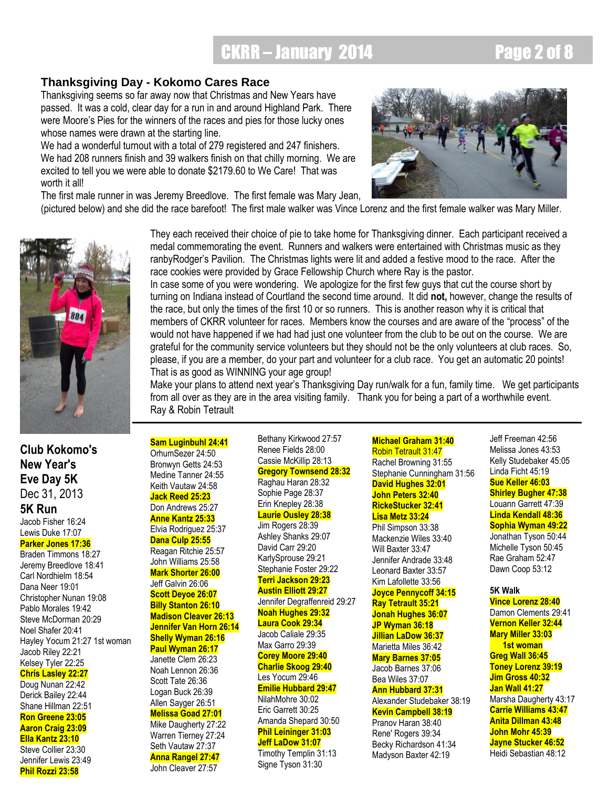## CKRR – January 2014 **Page 2 of 8**

### **Thanksgiving Day - Kokomo Cares Race**

Thanksgiving seems so far away now that Christmas and New Years have passed. It was a cold, clear day for a run in and around Highland Park. There were Moore"s Pies for the winners of the races and pies for those lucky ones whose names were drawn at the starting line.

We had a wonderful turnout with a total of 279 registered and 247 finishers. We had 208 runners finish and 39 walkers finish on that chilly morning. We are excited to tell you we were able to donate \$2179.60 to We Care! That was worth it all!

The first male runner in was Jeremy Breedlove. The first female was Mary Jean,



(pictured below) and she did the race barefoot! The first male walker was Vince Lorenz and the first female walker was Mary Miller.



**Club Kokomo's New Year's Eve Day 5K** Dec 31, 2013 **5K Run**

Jacob Fisher 16:24 Lewis Duke 17:07

#### **Parker Jones 17:36**

Braden Timmons 18:27 Jeremy Breedlove 18:41 Carl Nordhielm 18:54 Dana Neer 19:01 Christopher Nunan 19:08 Pablo Morales 19:42 Steve McDorman 20:29 Noel Shafer 20:41 Hayley Yocum 21:27 1st woman Jacob Riley 22:21 Kelsey Tyler 22:25 **Chris Lasley 22:27** Doug Nunan 22:42 Derick Bailey 22:44 Shane Hillman 22:51 **Ron Greene 23:05 Aaron Craig 23:09 Ella Kantz 23:10** Steve Collier 23:30 Jennifer Lewis 23:49 **Phil Rozzi 23:58**

medal commemorating the event. Runners and walkers were entertained with Christmas music as they ranbyRodger"s Pavilion. The Christmas lights were lit and added a festive mood to the race. After the race cookies were provided by Grace Fellowship Church where Ray is the pastor. In case some of you were wondering. We apologize for the first few guys that cut the course short by

They each received their choice of pie to take home for Thanksgiving dinner. Each participant received a

turning on Indiana instead of Courtland the second time around. It did **not,** however, change the results of the race, but only the times of the first 10 or so runners. This is another reason why it is critical that members of CKRR volunteer for races. Members know the courses and are aware of the "process" of the would not have happened if we had had just one volunteer from the club to be out on the course. We are grateful for the community service volunteers but they should not be the only volunteers at club races. So, please, if you are a member, do your part and volunteer for a club race. You get an automatic 20 points! That is as good as WINNING your age group!

Make your plans to attend next year's Thanksgiving Day run/walk for a fun, family time. We get participants from all over as they are in the area visiting family. Thank you for being a part of a worthwhile event. Ray & Robin Tetrault

**Sam Luginbuhl 24:41** OrhumSezer 24:50 Bronwyn Getts 24:53 Medine Tanner 24:55 Keith Vautaw 24:58 **Jack Reed 25:23** Don Andrews 25:27 **Anne Kantz 25:33** Elvia Rodriguez 25:37 **Dana Culp 25:55** Reagan Ritchie 25:57 John Williams 25:58

**Mark Shorter 26:00** Jeff Galvin 26:06 **Scott Deyoe 26:07 Billy Stanton 26:10 Madison Cleaver 26:13 Jennifer Van Horn 26:14 Shelly Wyman 26:16 Paul Wyman 26:17** Janette Clem 26:23 Noah Lennon 26:36 Scott Tate 26:36 Logan Buck 26:39 Allen Sayger 26:51 **Melissa Goad 27:01** Mike Daugherty 27:22 Warren Tierney 27:24

Seth Vautaw 27:37 **Anna Rangel 27:47** John Cleaver 27:57

Bethany Kirkwood 27:57 Renee Fields 28:00 Cassie McKillip 28:13 **Gregory Townsend 28:32** Raghau Haran 28:32 Sophie Page 28:37 Erin Knepley 28:38 **Laurie Ousley 28:38**

Jim Rogers 28:39 Ashley Shanks 29:07 David Carr 29:20 KarlySprouse 29:21 Stephanie Foster 29:22 **Terri Jackson 29:23 Austin Elliott 29:27** Jennifer Degraffenreid 29:27 **Noah Hughes 29:32 Laura Cook 29:34** Jacob Caliale 29:35 Max Garro 29:39 **Corey Moore 29:40 Charlie Skoog 29:40** Les Yocum 29:46 **Emilie Hubbard 29:47** NilahMohre 30:02 Eric Garrett 30:25 Amanda Shepard 30:50 **Phil Leininger 31:03 Jeff LaDow 31:07** Timothy Templin 31:13

Signe Tyson 31:30

**Michael Graham 31:40** Robin Tetrault 31:47 Rachel Browning 31:55 Stephanie Cunningham 31:56 **David Hughes 32:01 John Peters 32:40 RickeStucker 32:41 Lisa Metz 33:24** Phil Simpson 33:38 Mackenzie Wiles 33:40

Will Baxter 33:47 Jennifer Andrade 33:48 Leonard Baxter 33:57 Kim Lafollette 33:56 **Joyce Pennycoff 34:15 Ray Tetrault 35:21 Jonah Hughes 36:07 JP Wyman 36:18 Jillian LaDow 36:37** Marietta Miles 36:42 **Mary Barnes 37:05** Jacob Barnes 37:06 Bea Wiles 37:07 **Ann Hubbard 37:31** Alexander Studebaker 38:19 **Kevin Campbell 38:19** Pranov Haran 38:40 Rene' Rogers 39:34 Becky Richardson 41:34 Madyson Baxter 42:19

Jeff Freeman 42:56 Melissa Jones 43:53 Kelly Studebaker 45:05 Linda Ficht 45:19 **Sue Keller 46:03 Shirley Bugher 47:38** Louann Garrett 47:39 **Linda Kendall 48:36 Sophia Wyman 49:22** Jonathan Tyson 50:44 Michelle Tyson 50:45 Rae Graham 52:47 Dawn Coop 53:12

#### **5K Walk**

**Vince Lorenz 28:40** Damon Clements 29:41 **Vernon Keller 32:44 Mary Miller 33:03 1st woman Greg Wall 36:45 Toney Lorenz 39:19 Jim Gross 40:32 Jan Wall 41:27** Marsha Daugherty 43:17 **Carrie Williams 43:47 Anita Dillman 43:48 John Mohr 45:39 Jayne Stucker 46:52** Heidi Sebastian 48:12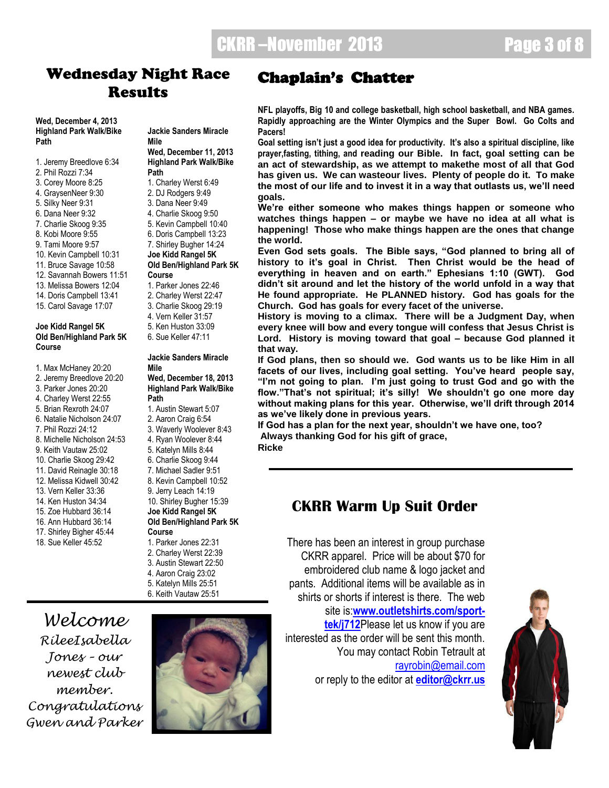### **Wednesday Night Race Results**

**Wed, December 4, 2013 Highland Park Walk/Bike Path**

- 1. Jeremy Breedlove 6:34
- 2. Phil Rozzi 7:34
- 3. Corey Moore 8:25
- 4. GraysenNeer 9:30
- 5. Silky Neer 9:31 6. Dana Neer 9:32
- 7. Charlie Skoog 9:35
- 8. Kobi Moore 9:55
- 9. Tami Moore 9:57
- 10. Kevin Campbell 10:31
- 11. Bruce Savage 10:58
- 12. Savannah Bowers 11:51
- 13. Melissa Bowers 12:04
- 14. Doris Campbell 13:41
- 15. Carol Savage 17:07
- **Joe Kidd Rangel 5K Old Ben/Highland Park 5K Course**
- 1. Max McHaney 20:20
- 2. Jeremy Breedlove 20:20
- 3. Parker Jones 20:20
- 4. Charley Werst 22:55
- 5. Brian Rexroth 24:07
- 6. Natalie Nicholson 24:07
- 7. Phil Rozzi 24:12 8. Michelle Nicholson 24:53
- 9. Keith Vautaw 25:02
- 10. Charlie Skoog 29:42
- 11. David Reinagle 30:18
- 12. Melissa Kidwell 30:42
- 13. Vern Keller 33:36
- 14. Ken Huston 34:34
- 15. Zoe Hubbard 36:14
- 16. Ann Hubbard 36:14
- 17. Shirley Bigher 45:44 18. Sue Keller 45:52

#### **Jackie Sanders Miracle Mile Wed, December 11, 2013 Highland Park Walk/Bike**

- **Path**
- 1. Charley Werst 6:49
- 2. DJ Rodgers 9:49
- 3. Dana Neer 9:49 4. Charlie Skoog 9:50
- 5. Kevin Campbell 10:40
- 6. Doris Campbell 13:23
- 7. Shirley Bugher 14:24

#### **Joe Kidd Rangel 5K Old Ben/Highland Park 5K Course**

- 1. Parker Jones 22:46
- 2. Charley Werst 22:47
- 3. Charlie Skoog 29:19
- 4. Vern Keller 31:57
- 5. Ken Huston 33:09
- 6. Sue Keller 47:11

#### **Jackie Sanders Miracle Mile**

**Wed, December 18, 2013 Highland Park Walk/Bike Path**

- 1. Austin Stewart 5:07
- 2. Aaron Craig 6:54
- 3. Waverly Woolever 8:43 4. Ryan Woolever 8:44
	-
- 5. Katelyn Mills 8:44 6. Charlie Skoog 9:44
- 7. Michael Sadler 9:51
- 8. Kevin Campbell 10:52
- 9. Jerry Leach 14:19
- 10. Shirley Bugher 15:39 **Joe Kidd Rangel 5K Old Ben/Highland Park 5K Course**
- 1. Parker Jones 22:31
- 2. Charley Werst 22:39
- 3. Austin Stewart 22:50
- 4. Aaron Craig 23:02
- 5. Katelyn Mills 25:51
- 6. Keith Vautaw 25:51

*Welcome RileeIsabella Jones – our newest club member. Congratulations Gwen and Parker*



### Chaplain's Chatter

**NFL playoffs, Big 10 and college basketball, high school basketball, and NBA games. Rapidly approaching are the Winter Olympics and the Super Bowl. Go Colts and Pacers!** 

**Goal setting isn't just a good idea for productivity. It's also a spiritual discipline, like prayer,fasting, tithing, and reading our Bible. In fact, goal setting can be an act of stewardship, as we attempt to makethe most of all that God has given us. We can wasteour lives. Plenty of people do it. To make the most of our life and to invest it in a way that outlasts us, we'll need goals.**

**We're either someone who makes things happen or someone who watches things happen – or maybe we have no idea at all what is happening! Those who make things happen are the ones that change the world.**

**Even God sets goals. The Bible says, "God planned to bring all of history to it's goal in Christ. Then Christ would be the head of everything in heaven and on earth." Ephesians 1:10 (GWT). God didn't sit around and let the history of the world unfold in a way that He found appropriate. He PLANNED history. God has goals for the Church. God has goals for every facet of the universe.**

**History is moving to a climax. There will be a Judgment Day, when every knee will bow and every tongue will confess that Jesus Christ is Lord. History is moving toward that goal – because God planned it that way.**

**If God plans, then so should we. God wants us to be like Him in all facets of our lives, including goal setting. You've heard people say, "I'm not going to plan. I'm just going to trust God and go with the flow."That's not spiritual; it's silly! We shouldn't go one more day without making plans for this year. Otherwise, we'll drift through 2014 as we've likely done in previous years.**

**If God has a plan for the next year, shouldn't we have one, too? Always thanking God for his gift of grace, Ricke**

### **CKRR Warm Up Suit Order**

There has been an interest in group purchase CKRR apparel. Price will be about \$70 for embroidered club name & logo jacket and pants. Additional items will be available as in shirts or shorts if interest is there. The web site is:**[www.outletshirts.com/sport](http://www.outletshirts.com/sport-tek/j712)[tek/j712](http://www.outletshirts.com/sport-tek/j712)**Please let us know if you are interested as the order will be sent this month. You may contact Robin Tetrault at [rayrobin@email.com](mailto:rayrobin@email.com) or reply to the editor at **[editor@ckrr.us](mailto:editor@ckrr.us)**

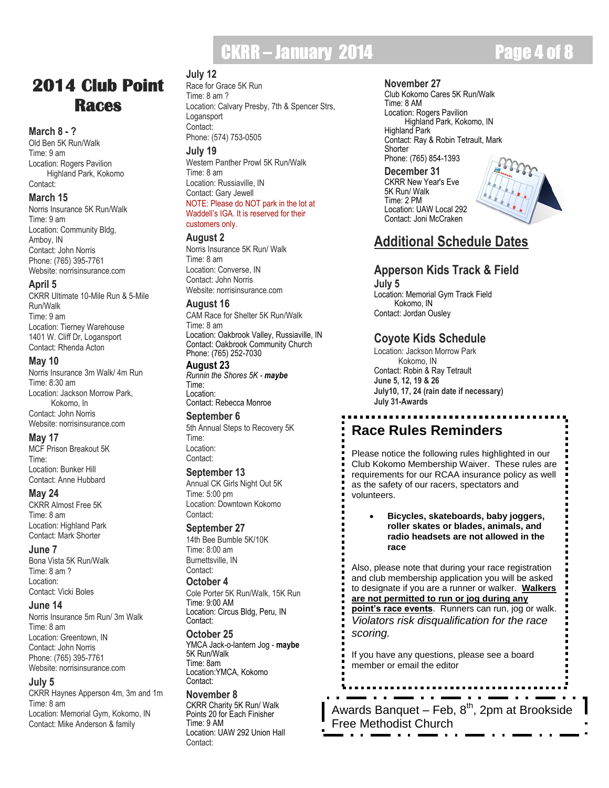## CKRR – January 2014 **Page 4 of 8**

### **2014 Club Point Races**

#### **March 8 - ?**

Old Ben 5K Run/Walk Time: 9 am Location: Rogers Pavilion Highland Park, Kokomo Contact:

#### **March 15**

Norris Insurance 5K Run/Walk Time: 9 am Location: Community Bldg, Amboy, IN Contact: John Norris Phone: (765) 395-7761 Website: norrisinsurance.com

#### **April 5**

CKRR Ultimate 10-Mile Run & 5-Mile Run/Walk Time: 9 am Location: Tierney Warehouse 1401 W. Cliff Dr, Logansport Contact: Rhenda Acton

#### **May 10**

Norris Insurance 3m Walk/ 4m Run Time: 8:30 am Location: Jackson Morrow Park, Kokomo, In Contact: John Norris Website: norrisinsurance.com

#### **May 17**

MCF Prison Breakout 5K Time: Location: Bunker Hill Contact: Anne Hubbard

#### **May 24**

CKRR Almost Free 5K Time: 8 am Location: Highland Park Contact: Mark Shorter

#### **June 7**

Bona Vista 5K Run/Walk Time: 8 am ? Location: Contact: Vicki Boles

#### **June 14**

Norris Insurance 5m Run/ 3m Walk Time: 8 am Location: Greentown, IN Contact: John Norris Phone: (765) 395-7761 Website: norrisinsurance.com

#### **July 5**

CKRR Haynes Apperson 4m, 3m and 1m Time: 8 am Location: Memorial Gym, Kokomo, IN Contact: Mike Anderson & family

#### **July 12**

Race for Grace 5K Run Time: 8 am ? Location: Calvary Presby, 7th & Spencer Strs, Logansport Contact: Phone: (574) 753-0505

**July 19**

Western Panther Prowl 5K Run/Walk Time: 8 am Location: Russiaville, IN Contact: Gary Jewell NOTE: Please do NOT park in the lot at Waddell"s IGA. It is reserved for their customers only.

#### **August 2**

Norris Insurance 5K Run/ Walk Time: 8 am Location: Converse, IN Contact: John Norris Website: norrisinsurance.com

#### **August 16**

CAM Race for Shelter 5K Run/Walk Time: 8 am Location: Oakbrook Valley, Russiaville, IN Contact: Oakbrook Community Church Phone: (765) 252-7030

#### **August 23**

*Runnin the Shores 5K - maybe* Time: Location: Contact: Rebecca Monroe

**September 6** 5th Annual Steps to Recovery 5K Time: Location: Contact:

#### **September 13**

Annual CK Girls Night Out 5K Time: 5:00 pm Location: Downtown Kokomo Contact:

#### **September 27**

14th Bee Bumble 5K/10K Time: 8:00 am Burnettsville, IN Contact:

**October 4**

Cole Porter 5K Run/Walk, 15K Run Time: 9:00 AM Location: Circus Bldg, Peru, IN Contact:

#### **October 25**

YMCA Jack-o-lantern Jog - **maybe** 5K Run/Walk Time: 8am Location:YMCA, Kokomo Contact:

#### **November 8**

CKRR Charity 5K Run/ Walk Points 20 for Each Finisher Time: 9 AM Location: UAW 292 Union Hall Contact:

#### **November 27**

Club Kokomo Cares 5K Run/Walk Time: 8 AM Location: Rogers Pavilion Highland Park, Kokomo, IN Highland Park Contact: Ray & Robin Tetrault, Mark **Shorter** Phone: (765) 854-1393

**December 31** CKRR New Year's Eve 5K Run/ Walk Time: 2 PM Location: UAW Local 292 Contact: Joni McCraken



### **Additional Schedule Dates**

#### **Apperson Kids Track & Field**

**July 5** Location: Memorial Gym Track Field Kokomo, IN Contact: Jordan Ousley

### **Coyote Kids Schedule**

Location: Jackson Morrow Park Kokomo, IN Contact: Robin & Ray Tetrault **June 5, 12, 19 & 26 July10, 17, 24 (rain date if necessary) July 31-Awards**

### **Race Rules Reminders**

Please notice the following rules highlighted in our Club Kokomo Membership Waiver. These rules are requirements for our RCAA insurance policy as well as the safety of our racers, spectators and volunteers.

 **Bicycles, skateboards, baby joggers, roller skates or blades, animals, and radio headsets are not allowed in the race**

Also, please note that during your race registration and club membership application you will be asked to designate if you are a runner or walker. **Walkers are not permitted to run or jog during any point's race events**. Runners can run, jog or walk. *Violators risk disqualification for the race scoring.*

If you have any questions, please see a board member or email the editor

Awards Banquet – Feb, 8<sup>th</sup>, 2pm at Brookside Free Methodist Church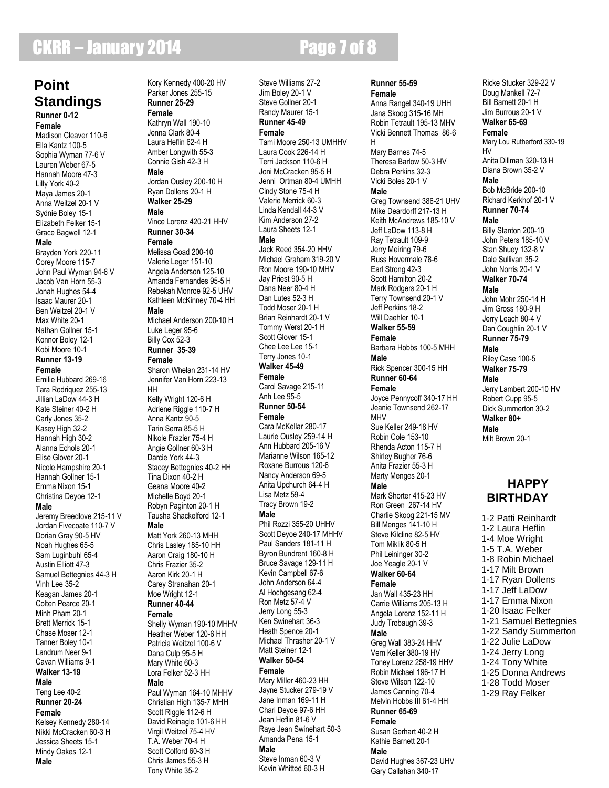## **CKRR – January 2014 Page 7 of 8**

### **Point Standings**

**Runner 0-12 Female**

Madison Cleaver 110-6 Ella Kantz 100-5 Sophia Wyman 77-6 V Lauren Weber 67-5 Hannah Moore 47-3 Lilly York 40-2 Maya James 20-1 Anna Weitzel 20-1 V Sydnie Boley 15-1 Elizabeth Felker 15-1 Grace Bagwell 12-1 **Male** Brayden York 220-11 Corey Moore 115-7

John Paul Wyman 94-6 V Jacob Van Horn 55-3 Jonah Hughes 54-4 Isaac Maurer 20-1 Ben Weitzel 20-1 V Max White 20-1 Nathan Gollner 15-1 Konnor Boley 12-1 Kobi Moore 10-1 **Runner 13-19 Female** Emilie Hubbard 269-16 Tara Rodriquez 255-13 Jillian LaDow 44-3 H Kate Steiner 40-2 H Carly Jones 35-2 Kasey High 32-2 Hannah High 30-2 Alanna Echols 20-1 Elise Glover 20-1 Nicole Hampshire 20-1 Hannah Gollner 15-1 Emma Nixon 15-1 Christina Deyoe 12-1 **Male** Jeremy Breedlove 215-11 V Jordan Fivecoate 110-7 V Dorian Gray 90-5 HV Noah Hughes 65-5 Sam Luginbuhl 65-4 Austin Elliott 47-3 Samuel Bettegnies 44-3 H Vinh Lee 35-2 Keagan James 20-1 Colten Pearce 20-1 Minh Pham 20-1 Brett Merrick 15-1 Chase Moser 12-1 Tanner Boley 10-1 Landrum Neer 9-1 Cavan Williams 9-1 **Walker 13-19 Male** Teng Lee 40-2 **Runner 20-24 Female** Kelsey Kennedy 280-14 Nikki McCracken 60-3 H Jessica Sheets 15-1

Mindy Oakes 12-1

**Male**

Kory Kennedy 400-20 HV Parker Jones 255-15 **Runner 25-29 Female** Kathryn Wall 190-10 Jenna Clark 80-4 Laura Heflin 62-4 H Amber Longwith 55-3 Connie Gish 42-3 H **Male** Jordan Ousley 200-10 H Ryan Dollens 20-1 H **Walker 25-29 Male** Vince Lorenz 420-21 HHV **Runner 30-34 Female** Melissa Goad 200-10 Valerie Leger 151-10 Angela Anderson 125-10 Amanda Fernandes 95-5 H Rebekah Monroe 92-5 UHV Kathleen McKinney 70-4 HH **Male** Michael Anderson 200-10 H Luke Leger 95-6 Billy Cox 52-3 **Runner 35-39 Female** Sharon Whelan 231-14 HV Jennifer Van Horn 223-13 HH Kelly Wright 120-6 H Adriene Riggle 110-7 H Anna Kantz 90-5 Tarin Serra 85-5 H Nikole Frazier 75-4 H Angie Gollner 60-3 H Darcie York 44-3 Stacey Bettegnies 40-2 HH Tina Dixon 40-2 H Geana Moore 40-2 Michelle Boyd 20-1 Robyn Paginton 20-1 H Tausha Shackelford 12-1 **Male** Matt York 260-13 MHH Chris Lasley 185-10 HH Aaron Craig 180-10 H Chris Frazier 35-2 Aaron Kirk 20-1 H Carey Stranahan 20-1 Moe Wright 12-1 **Runner 40-44 Female** Shelly Wyman 190-10 MHHV Heather Weber 120-6 HH Patricia Weitzel 100-6 V Dana Culp 95-5 H Mary White 60-3 Lora Felker 52-3 HH **Male** Paul Wyman 164-10 MHHV Christian High 135-7 MHH Scott Riggle 112-6 H David Reinagle 101-6 HH Virgil Weitzel 75-4 HV T.A. Weber 70-4 H

> Scott Colford 60-3 H Chris James 55-3 H Tony White 35-2

#### Steve Williams 27-2 Jim Boley 20-1 V Steve Gollner 20-1 Randy Maurer 15-1 **Runner 45-49 Female** Tami Moore 250-13 UMHHV Laura Cook 226-14 H Terri Jackson 110-6 H Joni McCracken 95-5 H Jenni Ortman 80-4 UMHH Cindy Stone 75-4 H Valerie Merrick 60-3 Linda Kendall 44-3 V Kim Anderson 27-2 Laura Sheets 12-1 **Male** Jack Reed 354-20 HHV Michael Graham 319-20 V Ron Moore 190-10 MHV Jay Priest 90-5 H Dana Neer 80-4 H Dan Lutes 52-3 H Todd Moser 20-1 H Brian Reinhardt 20-1 V Tommy Werst 20-1 H Scott Glover 15-1 Chee Lee Lee 15-1 Terry Jones 10-1 **Walker 45-49 Female** Carol Savage 215-11 Anh Lee 95-5 **Runner 50-54 Female** Cara McKellar 280-17 Laurie Ousley 259-14 H Ann Hubbard 205-16 V Marianne Wilson 165-12 Roxane Burrous 120-6 Nancy Anderson 69-5 Anita Upchurch 64-4 H Lisa Metz 59-4 Tracy Brown 19-2 **Male** Phil Rozzi 355-20 UHHV Scott Deyoe 240-17 MHHV Paul Sanders 181-11 H Byron Bundrent 160-8 H Bruce Savage 129-11 H Kevin Campbell 67-6 John Anderson 64-4 Al Hochgesang 62-4 Ron Metz 57-4 V Jerry Long 55-3 Ken Swinehart 36-3 Heath Spence 20-1 Michael Thrasher 20-1 V Matt Steiner 12-1 **Walker 50-54 Female** Mary Miller 460-23 HH Jayne Stucker 279-19 V Jane Inman 169-11 H Chari Deyoe 97-6 HH Jean Heflin 81-6 V Raye Jean Swinehart 50-3 Amanda Pena 15-1 **Male** Steve Inman 60-3 V Kevin Whitted 60-3 H

**Runner 55-59 Female** Anna Rangel 340-19 UHH Jana Skoog 315-16 MH Robin Tetrault 195-13 MHV Vicki Bennett Thomas 86-6 H Mary Barnes 74-5 Theresa Barlow 50-3 HV Debra Perkins 32-3 Vicki Boles 20-1 V **Male** Greg Townsend 386-21 UHV Mike Deardorff 217-13 H Keith McAndrews 185-10 V Jeff LaDow 113-8 H Ray Tetrault 109-9 Jerry Meiring 79-6 Russ Hovermale 78-6 Earl Strong 42-3 Scott Hamilton 20-2 Mark Rodgers 20-1 H Terry Townsend 20-1 V Jeff Perkins 18-2 Will Daehler 10-1 **Walker 55-59 Female** Barbara Hobbs 100-5 MHH **Male** Rick Spencer 300-15 HH **Runner 60-64 Female** Joyce Pennycoff 340-17 HH Jeanie Townsend 262-17 MHV Sue Keller 249-18 HV Robin Cole 153-10 Rhenda Acton 115-7 H Shirley Bugher 76-6 Anita Frazier 55-3 H Marty Menges 20-1 **Male** Mark Shorter 415-23 HV Ron Green 267-14 HV Charlie Skoog 221-15 MV Bill Menges 141-10 H Steve Kilcline 82-5 HV Tom Miklik 80-5 H Phil Leininger 30-2 Joe Yeagle 20-1 V **Walker 60-64 Female** Jan Wall 435-23 HH Carrie Williams 205-13 H Angela Lorenz 152-11 H Judy Trobaugh 39-3 **Male** Greg Wall 383-24 HHV Vern Keller 380-19 HV Toney Lorenz 258-19 HHV Robin Michael 196-17 H Steve Wilson 122-10 James Canning 70-4 Melvin Hobbs III 61-4 HH **Runner 65-69 Female** Susan Gerhart 40-2 H Kathie Barnett 20-1 **Male** David Hughes 367-23 UHV Gary Callahan 340-17

Doug Mankell 72-7 Bill Barnett 20-1 H Jim Burrous 20-1 V **Walker 65-69 Female** Mary Lou Rutherford 330-19 HV Anita Dillman 320-13 H Diana Brown 35-2 V **Male** Bob McBride 200-10 Richard Kerkhof 20-1 V **Runner 70-74 Male** Billy Stanton 200-10 John Peters 185-10 V Stan Shuey 132-8 V Dale Sullivan 35-2 John Norris 20-1 V **Walker 70-74 Male** John Mohr 250-14 H Jim Gross 180-9 H Jerry Leach 80-4 V Dan Coughlin 20-1 V **Runner 75-79 Male** Riley Case 100-5 **Walker 75-79 Male** Jerry Lambert 200-10 HV Robert Cupp 95-5 Dick Summerton 30-2 **Walker 80+ Male** Milt Brown 20-1

Ricke Stucker 329-22 V

### **HAPPY BIRTHDAY**

1-2 Patti Reinhardt 1-2 Laura Heflin 1-4 Moe Wright 1-5 T.A. Weber 1-8 Robin Michael 1-17 Milt Brown 1-17 Ryan Dollens 1-17 Jeff LaDow 1-17 Emma Nixon 1-20 Isaac Felker 1-21 Samuel Bettegnies 1-22 Sandy Summerton 1-22 Julie LaDow 1-24 Jerry Long 1-24 Tony White 1-25 Donna Andrews 1-28 Todd Moser

1-29 Ray Felker